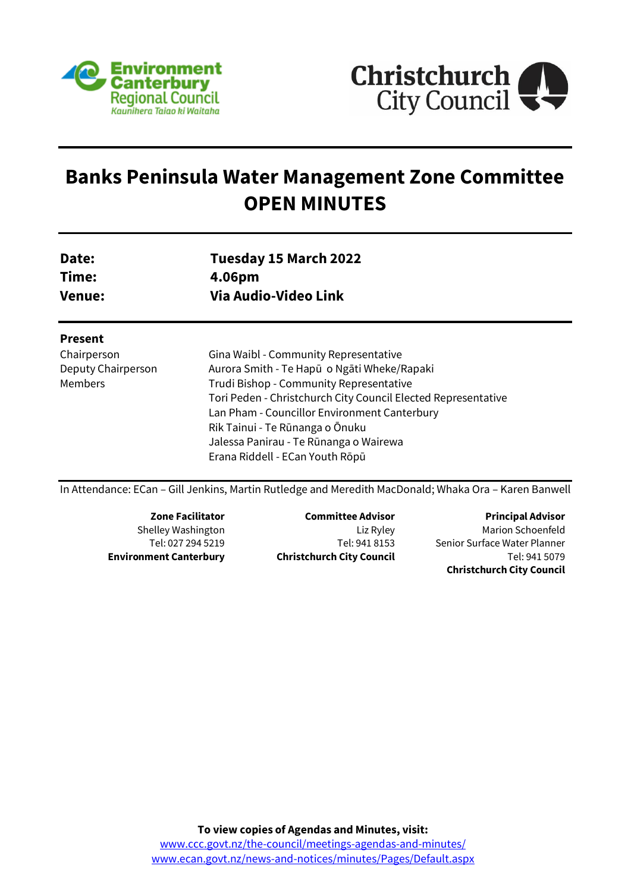



# **Banks Peninsula Water Management Zone Committee OPEN MINUTES**

| Date:  | Tuesday 15 March 2022 |
|--------|-----------------------|
| Time:  | 4.06pm                |
| Venue: | Via Audio-Video Link  |

#### **Present**

Chairperson Deputy Chairperson Members

Gina Waibl - Community Representative Aurora Smith - Te Hapū o Ngāti Wheke/Rapaki Trudi Bishop - Community Representative Tori Peden - Christchurch City Council Elected Representative Lan Pham - Councillor Environment Canterbury Rik Tainui - Te Rūnanga o Ōnuku Jalessa Panirau - Te Rūnanga o Wairewa Erana Riddell - ECan Youth Rōpū

In Attendance: ECan – Gill Jenkins, Martin Rutledge and Meredith MacDonald; Whaka Ora – Karen Banwell

**Zone Facilitator** Shelley Washington Tel: 027 294 5219 **Environment Canterbury**

**Committee Advisor** Liz Ryley Tel: 941 8153 **Christchurch City Council**

**Principal Advisor** Marion Schoenfeld Senior Surface Water Planner Tel: 941 5079 **Christchurch City Council**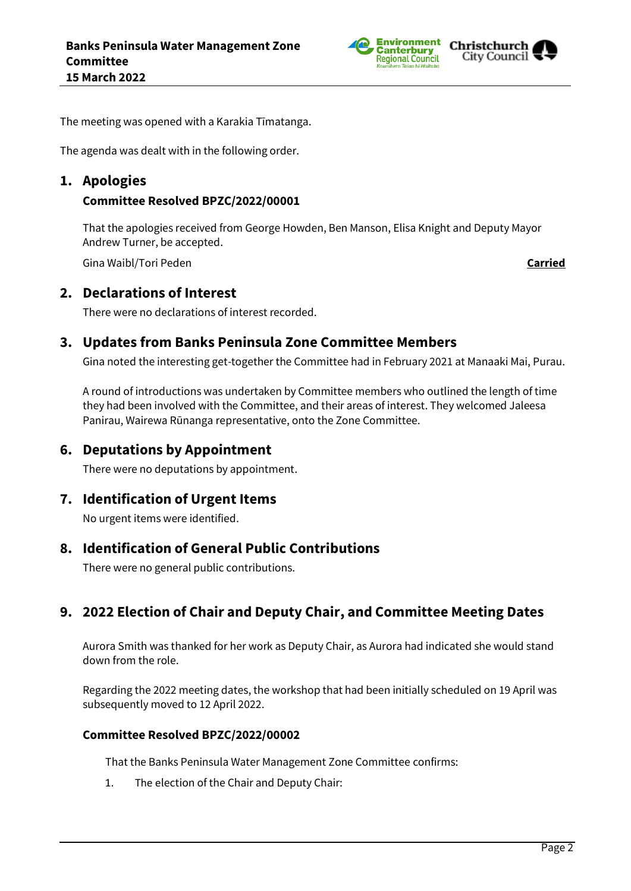



The meeting was opened with a Karakia Tīmatanga.

The agenda was dealt with in the following order.

## **1. Apologies**

### **Committee Resolved BPZC/2022/00001**

That the apologies received from George Howden, Ben Manson, Elisa Knight and Deputy Mayor Andrew Turner, be accepted.

Gina Waibl/Tori Peden **Carried**

## **2. Declarations of Interest**

There were no declarations of interest recorded.

# **3. Updates from Banks Peninsula Zone Committee Members**

Gina noted the interesting get-together the Committee had in February 2021 at Manaaki Mai, Purau.

A round of introductions was undertaken by Committee members who outlined the length of time they had been involved with the Committee, and their areas of interest. They welcomed Jaleesa Panirau, Wairewa Rūnanga representative, onto the Zone Committee.

# **6. Deputations by Appointment**

There were no deputations by appointment.

## **7. Identification of Urgent Items**

No urgent items were identified.

## **8. Identification of General Public Contributions**

There were no general public contributions.

# **9. 2022 Election of Chair and Deputy Chair, and Committee Meeting Dates**

Aurora Smith was thanked for her work as Deputy Chair, as Aurora had indicated she would stand down from the role.

Regarding the 2022 meeting dates, the workshop that had been initially scheduled on 19 April was subsequently moved to 12 April 2022.

#### **Committee Resolved BPZC/2022/00002**

That the Banks Peninsula Water Management Zone Committee confirms:

1. The election of the Chair and Deputy Chair: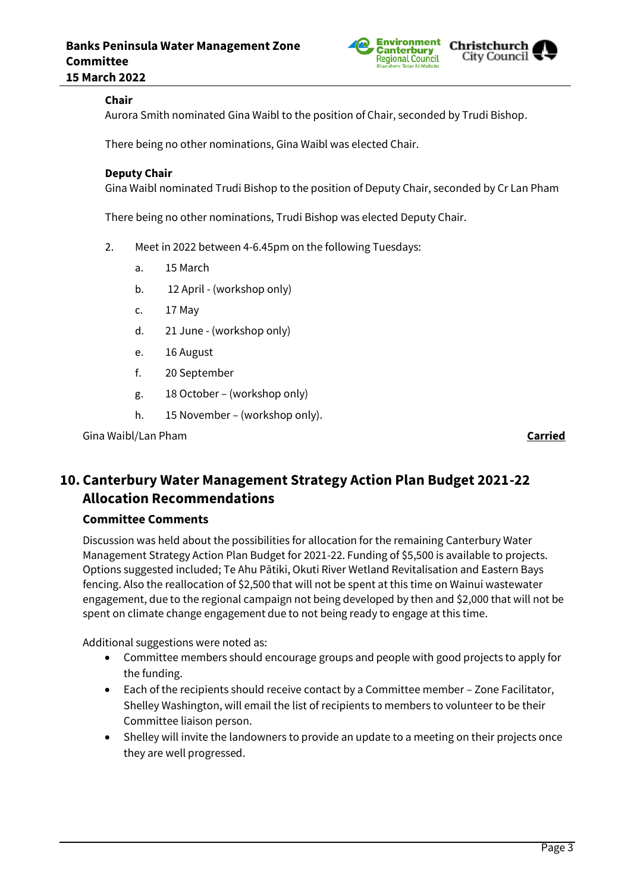

## **Chair**

Aurora Smith nominated Gina Waibl to the position of Chair, seconded by Trudi Bishop.

There being no other nominations, Gina Waibl was elected Chair.

#### **Deputy Chair**

Gina Waibl nominated Trudi Bishop to the position of Deputy Chair, seconded by Cr Lan Pham

There being no other nominations, Trudi Bishop was elected Deputy Chair.

- 2. Meet in 2022 between 4-6.45pm on the following Tuesdays:
	- a. 15 March
	- b. 12 April (workshop only)
	- c. 17 May
	- d. 21 June (workshop only)
	- e. 16 August
	- f. 20 September
	- g. 18 October (workshop only)
	- h. 15 November (workshop only).

Gina Waibl/Lan Pham **Carried**

# **10. Canterbury Water Management Strategy Action Plan Budget 2021-22 Allocation Recommendations**

#### **Committee Comments**

Discussion was held about the possibilities for allocation for the remaining Canterbury Water Management Strategy Action Plan Budget for 2021-22. Funding of \$5,500 is available to projects. Options suggested included; Te Ahu Pātiki, Okuti River Wetland Revitalisation and Eastern Bays fencing. Also the reallocation of \$2,500 that will not be spent at this time on Wainui wastewater engagement, due to the regional campaign not being developed by then and \$2,000 that will not be spent on climate change engagement due to not being ready to engage at this time.

Additional suggestions were noted as:

- Committee members should encourage groups and people with good projects to apply for the funding.
- Each of the recipients should receive contact by a Committee member Zone Facilitator, Shelley Washington, will email the list of recipients to members to volunteer to be their Committee liaison person.
- Shelley will invite the landowners to provide an update to a meeting on their projects once they are well progressed.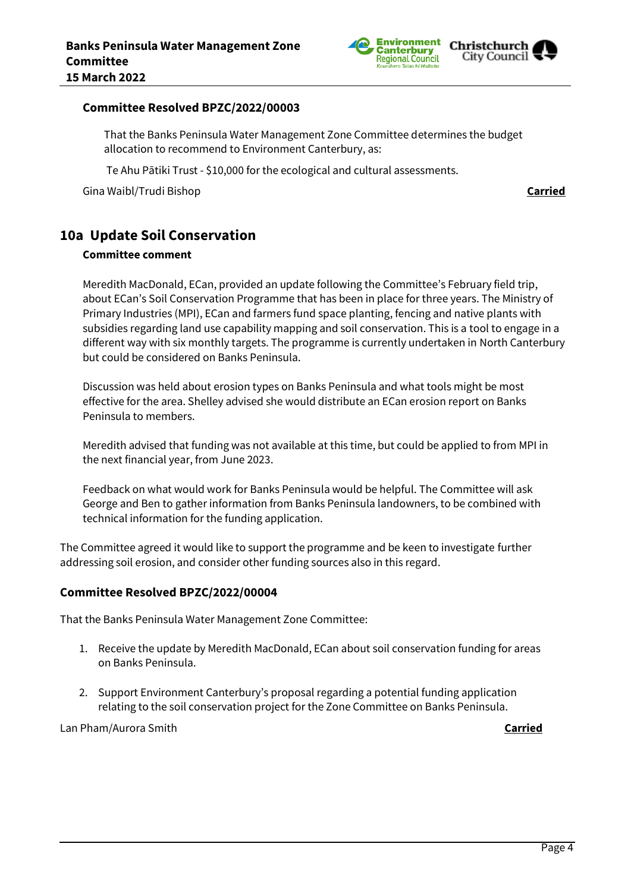

#### **Committee Resolved BPZC/2022/00003**

That the Banks Peninsula Water Management Zone Committee determines the budget allocation to recommend to Environment Canterbury, as:

Te Ahu Pātiki Trust - \$10,000 for the ecological and cultural assessments.

Gina Waibl/Trudi Bishop **Carried**

# **10a Update Soil Conservation**

#### **Committee comment**

Meredith MacDonald, ECan, provided an update following the Committee's February field trip, about ECan's Soil Conservation Programme that has been in place for three years. The Ministry of Primary Industries (MPI), ECan and farmers fund space planting, fencing and native plants with subsidies regarding land use capability mapping and soil conservation. This is a tool to engage in a different way with six monthly targets. The programme is currently undertaken in North Canterbury but could be considered on Banks Peninsula.

Discussion was held about erosion types on Banks Peninsula and what tools might be most effective for the area. Shelley advised she would distribute an ECan erosion report on Banks Peninsula to members.

Meredith advised that funding was not available at this time, but could be applied to from MPI in the next financial year, from June 2023.

Feedback on what would work for Banks Peninsula would be helpful. The Committee will ask George and Ben to gather information from Banks Peninsula landowners, to be combined with technical information for the funding application.

The Committee agreed it would like to support the programme and be keen to investigate further addressing soil erosion, and consider other funding sources also in this regard.

#### **Committee Resolved BPZC/2022/00004**

That the Banks Peninsula Water Management Zone Committee:

- 1. Receive the update by Meredith MacDonald, ECan about soil conservation funding for areas on Banks Peninsula.
- 2. Support Environment Canterbury's proposal regarding a potential funding application relating to the soil conservation project for the Zone Committee on Banks Peninsula.

Lan Pham/Aurora Smith **Carried**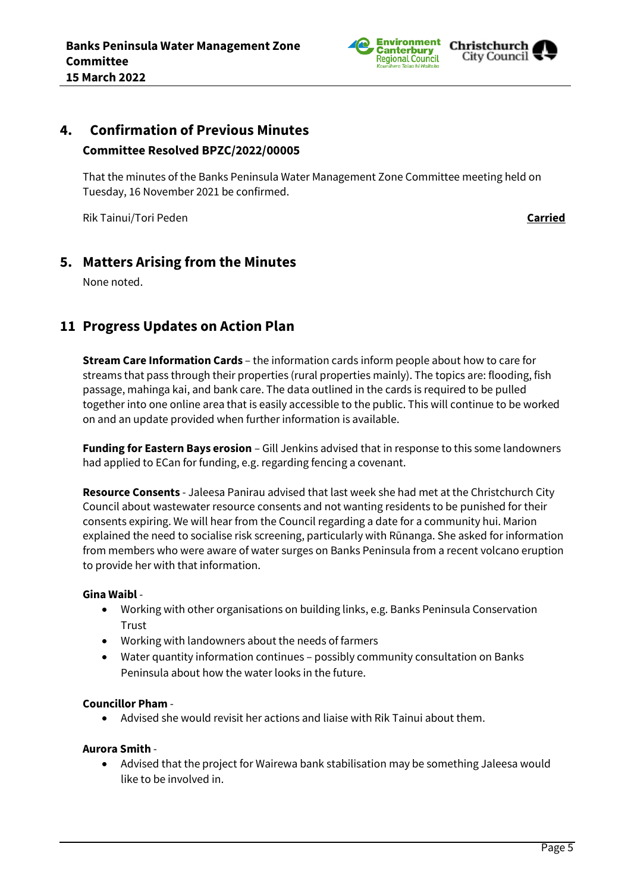

# City Council

# **4. Confirmation of Previous Minutes Committee Resolved BPZC/2022/00005**

That the minutes of the Banks Peninsula Water Management Zone Committee meeting held on Tuesday, 16 November 2021 be confirmed.

Rik Tainui/Tori Peden **Carried**

# **5. Matters Arising from the Minutes**

None noted.

# **11 Progress Updates on Action Plan**

**Stream Care Information Cards** – the information cards inform people about how to care for streams that pass through their properties (rural properties mainly). The topics are: flooding, fish passage, mahinga kai, and bank care. The data outlined in the cards is required to be pulled together into one online area that is easily accessible to the public. This will continue to be worked on and an update provided when further information is available.

**Funding for Eastern Bays erosion** – Gill Jenkins advised that in response to this some landowners had applied to ECan for funding, e.g. regarding fencing a covenant.

**Resource Consents** - Jaleesa Panirau advised that last week she had met at the Christchurch City Council about wastewater resource consents and not wanting residents to be punished for their consents expiring. We will hear from the Council regarding a date for a community hui. Marion explained the need to socialise risk screening, particularly with Rūnanga. She asked for information from members who were aware of water surges on Banks Peninsula from a recent volcano eruption to provide her with that information.

## **Gina Waibl** -

- Working with other organisations on building links, e.g. Banks Peninsula Conservation Trust
- Working with landowners about the needs of farmers
- Water quantity information continues possibly community consultation on Banks Peninsula about how the water looks in the future.

## **Councillor Pham** -

Advised she would revisit her actions and liaise with Rik Tainui about them.

## **Aurora Smith** -

 Advised that the project for Wairewa bank stabilisation may be something Jaleesa would like to be involved in.